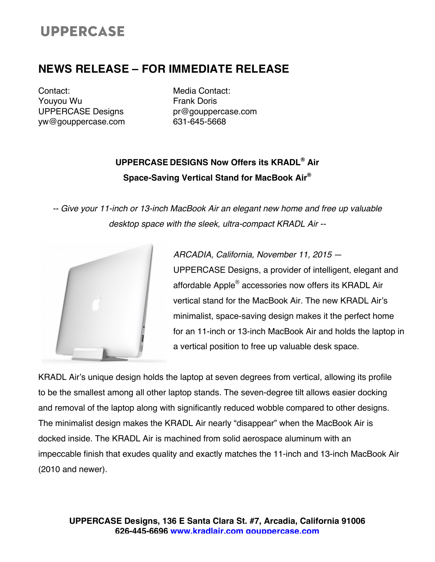# **UPPERCASE**

## **NEWS RELEASE – FOR IMMEDIATE RELEASE**

Contact: Youyou Wu UPPERCASE Designs yw@gouppercase.com

Media Contact: Frank Doris pr@gouppercase.com 631-645-5668

### **UPPERCASE DESIGNS Now Offers its KRADL® Air Space-Saving Vertical Stand for MacBook Air®**

*-- Give your 11-inch or 13-inch MacBook Air an elegant new home and free up valuable desktop space with the sleek, ultra-compact KRADL Air --*



*ARCADIA, California, November 11, 2015* — UPPERCASE Designs, a provider of intelligent, elegant and affordable Apple® accessories now offers its KRADL Air vertical stand for the MacBook Air. The new KRADL Air's minimalist, space-saving design makes it the perfect home for an 11-inch or 13-inch MacBook Air and holds the laptop in a vertical position to free up valuable desk space.

KRADL Air's unique design holds the laptop at seven degrees from vertical, allowing its profile to be the smallest among all other laptop stands. The seven-degree tilt allows easier docking and removal of the laptop along with significantly reduced wobble compared to other designs. The minimalist design makes the KRADL Air nearly "disappear" when the MacBook Air is docked inside. The KRADL Air is machined from solid aerospace aluminum with an impeccable finish that exudes quality and exactly matches the 11-inch and 13-inch MacBook Air (2010 and newer).